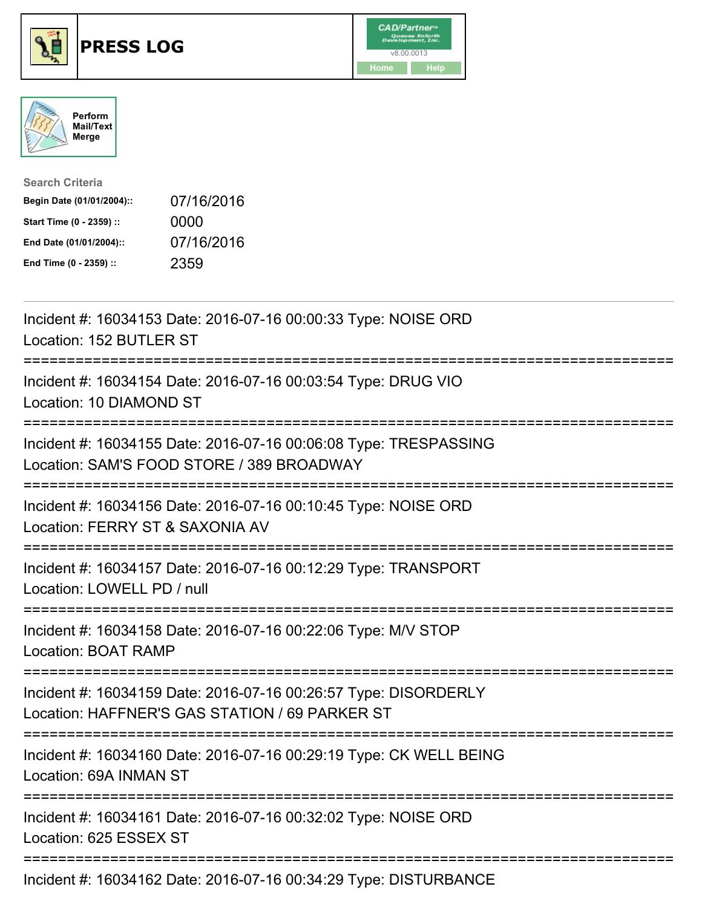





| <b>Search Criteria</b>    |            |
|---------------------------|------------|
| Begin Date (01/01/2004):: | 07/16/2016 |
| Start Time (0 - 2359) ::  | 0000       |
| End Date (01/01/2004)::   | 07/16/2016 |
| End Time (0 - 2359) ::    | 2359       |

| Incident #: 16034153 Date: 2016-07-16 00:00:33 Type: NOISE ORD<br>Location: 152 BUTLER ST<br>============                         |
|-----------------------------------------------------------------------------------------------------------------------------------|
| Incident #: 16034154 Date: 2016-07-16 00:03:54 Type: DRUG VIO<br>Location: 10 DIAMOND ST                                          |
| Incident #: 16034155 Date: 2016-07-16 00:06:08 Type: TRESPASSING<br>Location: SAM'S FOOD STORE / 389 BROADWAY                     |
| Incident #: 16034156 Date: 2016-07-16 00:10:45 Type: NOISE ORD<br>Location: FERRY ST & SAXONIA AV                                 |
| Incident #: 16034157 Date: 2016-07-16 00:12:29 Type: TRANSPORT<br>Location: LOWELL PD / null                                      |
| Incident #: 16034158 Date: 2016-07-16 00:22:06 Type: M/V STOP<br><b>Location: BOAT RAMP</b>                                       |
| Incident #: 16034159 Date: 2016-07-16 00:26:57 Type: DISORDERLY<br>Location: HAFFNER'S GAS STATION / 69 PARKER ST                 |
| Incident #: 16034160 Date: 2016-07-16 00:29:19 Type: CK WELL BEING<br>Location: 69A INMAN ST                                      |
| -------------------------------------<br>Incident #: 16034161 Date: 2016-07-16 00:32:02 Type: NOISE ORD<br>Location: 625 ESSEX ST |
| Incident #: 16034162 Date: 2016-07-16 00:34:29 Type: DISTURBANCE                                                                  |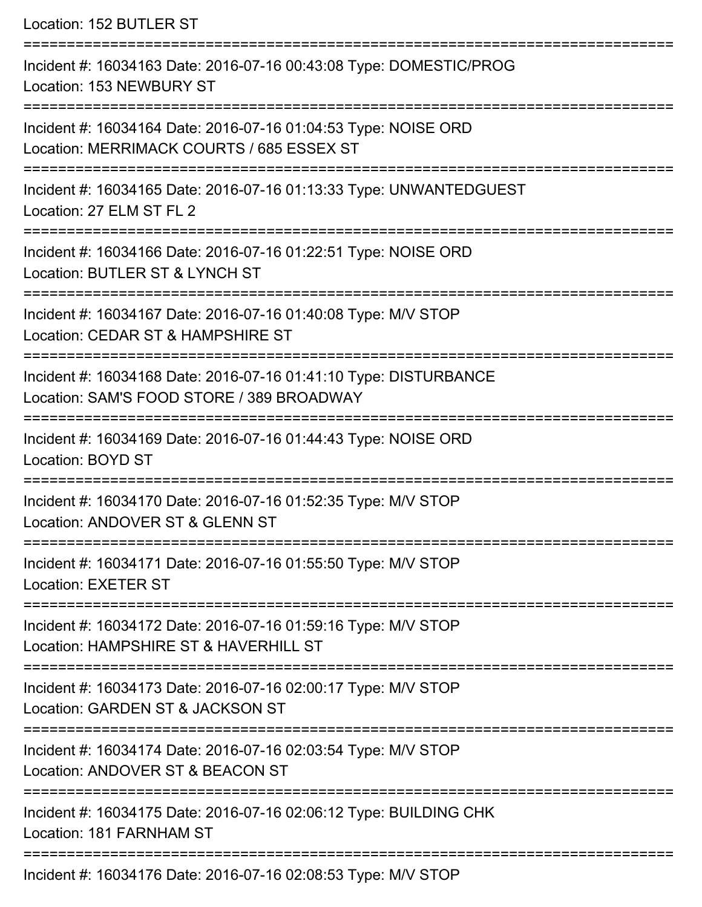Location: 152 BUTLER ST =========================================================================== Incident #: 16034163 Date: 2016-07-16 00:43:08 Type: DOMESTIC/PROG Location: 153 NEWBURY ST =========================================================================== Incident #: 16034164 Date: 2016-07-16 01:04:53 Type: NOISE ORD Location: MERRIMACK COURTS / 685 ESSEX ST =========================================================================== Incident #: 16034165 Date: 2016-07-16 01:13:33 Type: UNWANTEDGUEST Location: 27 ELM ST FL 2 =========================================================================== Incident #: 16034166 Date: 2016-07-16 01:22:51 Type: NOISE ORD Location: BUTLER ST & LYNCH ST ==================================== Incident #: 16034167 Date: 2016-07-16 01:40:08 Type: M/V STOP Location: CEDAR ST & HAMPSHIRE ST =========================================================================== Incident #: 16034168 Date: 2016-07-16 01:41:10 Type: DISTURBANCE Location: SAM'S FOOD STORE / 389 BROADWAY =========================================================================== Incident #: 16034169 Date: 2016-07-16 01:44:43 Type: NOISE ORD Location: BOYD ST =========================================================================== Incident #: 16034170 Date: 2016-07-16 01:52:35 Type: M/V STOP Location: ANDOVER ST & GLENN ST =========================================================================== Incident #: 16034171 Date: 2016-07-16 01:55:50 Type: M/V STOP Location: EXETER ST =========================================================================== Incident #: 16034172 Date: 2016-07-16 01:59:16 Type: M/V STOP Location: HAMPSHIRE ST & HAVERHILL ST =========================================================================== Incident #: 16034173 Date: 2016-07-16 02:00:17 Type: M/V STOP Location: GARDEN ST & JACKSON ST =========================================================================== Incident #: 16034174 Date: 2016-07-16 02:03:54 Type: M/V STOP Location: ANDOVER ST & BEACON ST =========================================================================== Incident #: 16034175 Date: 2016-07-16 02:06:12 Type: BUILDING CHK Location: 181 FARNHAM ST ===========================================================================

Incident #: 16034176 Date: 2016-07-16 02:08:53 Type: M/V STOP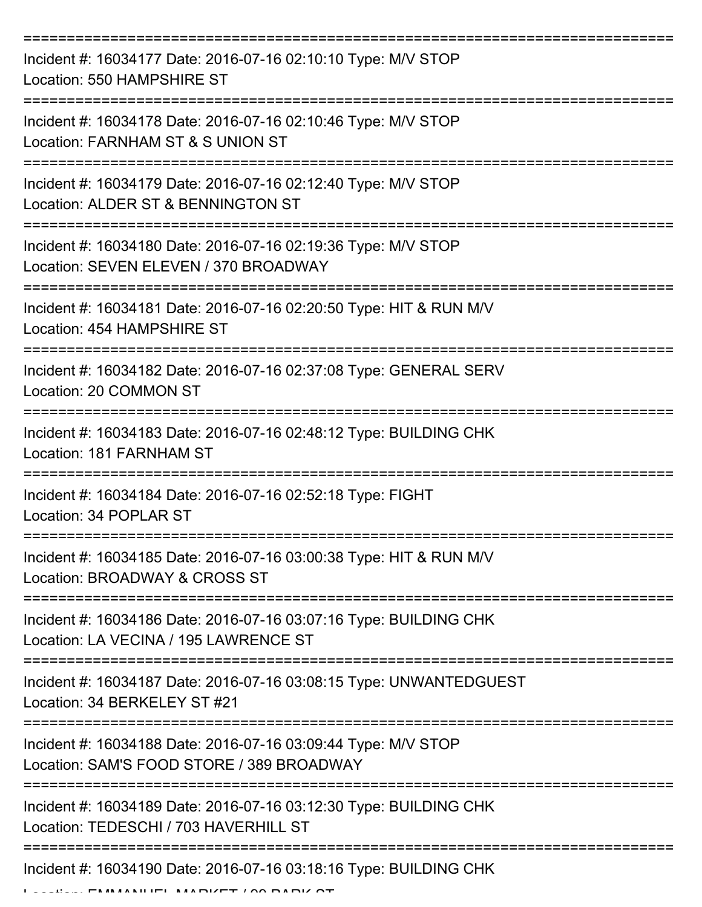| Incident #: 16034177 Date: 2016-07-16 02:10:10 Type: M/V STOP<br>Location: 550 HAMPSHIRE ST                |
|------------------------------------------------------------------------------------------------------------|
| Incident #: 16034178 Date: 2016-07-16 02:10:46 Type: M/V STOP<br>Location: FARNHAM ST & S UNION ST         |
| Incident #: 16034179 Date: 2016-07-16 02:12:40 Type: M/V STOP<br>Location: ALDER ST & BENNINGTON ST        |
| Incident #: 16034180 Date: 2016-07-16 02:19:36 Type: M/V STOP<br>Location: SEVEN ELEVEN / 370 BROADWAY     |
| Incident #: 16034181 Date: 2016-07-16 02:20:50 Type: HIT & RUN M/V<br>Location: 454 HAMPSHIRE ST           |
| Incident #: 16034182 Date: 2016-07-16 02:37:08 Type: GENERAL SERV<br>Location: 20 COMMON ST                |
| Incident #: 16034183 Date: 2016-07-16 02:48:12 Type: BUILDING CHK<br>Location: 181 FARNHAM ST              |
| Incident #: 16034184 Date: 2016-07-16 02:52:18 Type: FIGHT<br>Location: 34 POPLAR ST                       |
| Incident #: 16034185 Date: 2016-07-16 03:00:38 Type: HIT & RUN M/V<br>Location: BROADWAY & CROSS ST        |
| Incident #: 16034186 Date: 2016-07-16 03:07:16 Type: BUILDING CHK<br>Location: LA VECINA / 195 LAWRENCE ST |
| Incident #: 16034187 Date: 2016-07-16 03:08:15 Type: UNWANTEDGUEST<br>Location: 34 BERKELEY ST #21         |
| Incident #: 16034188 Date: 2016-07-16 03:09:44 Type: M/V STOP<br>Location: SAM'S FOOD STORE / 389 BROADWAY |
| Incident #: 16034189 Date: 2016-07-16 03:12:30 Type: BUILDING CHK<br>Location: TEDESCHI / 703 HAVERHILL ST |
| Incident #: 16034190 Date: 2016-07-16 03:18:16 Type: BUILDING CHK                                          |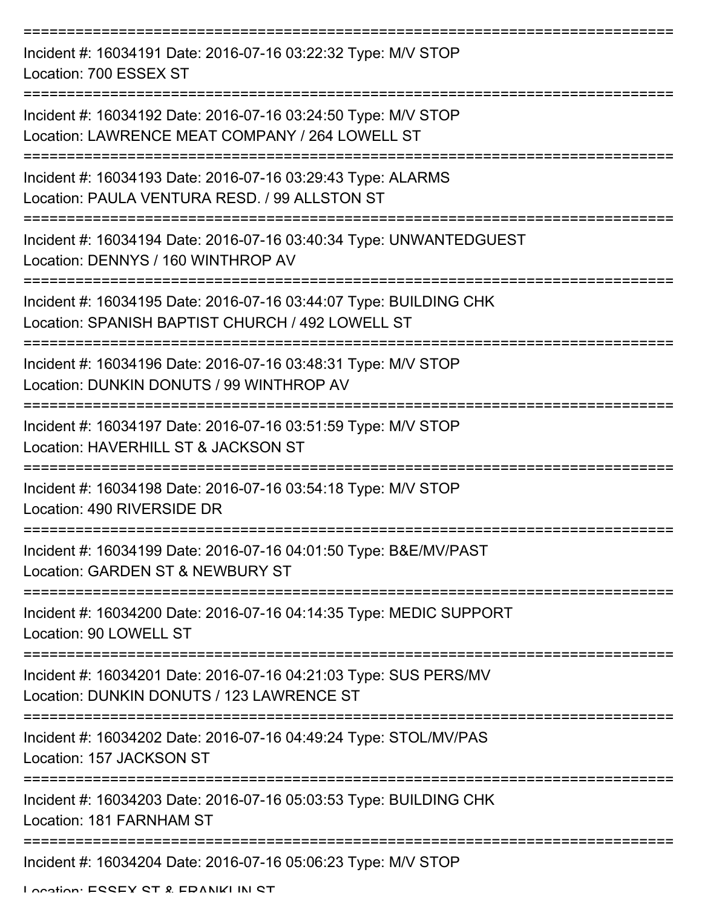| Incident #: 16034191 Date: 2016-07-16 03:22:32 Type: M/V STOP<br>Location: 700 ESSEX ST                               |
|-----------------------------------------------------------------------------------------------------------------------|
| Incident #: 16034192 Date: 2016-07-16 03:24:50 Type: M/V STOP<br>Location: LAWRENCE MEAT COMPANY / 264 LOWELL ST      |
| Incident #: 16034193 Date: 2016-07-16 03:29:43 Type: ALARMS<br>Location: PAULA VENTURA RESD. / 99 ALLSTON ST          |
| Incident #: 16034194 Date: 2016-07-16 03:40:34 Type: UNWANTEDGUEST<br>Location: DENNYS / 160 WINTHROP AV              |
| Incident #: 16034195 Date: 2016-07-16 03:44:07 Type: BUILDING CHK<br>Location: SPANISH BAPTIST CHURCH / 492 LOWELL ST |
| Incident #: 16034196 Date: 2016-07-16 03:48:31 Type: M/V STOP<br>Location: DUNKIN DONUTS / 99 WINTHROP AV             |
| Incident #: 16034197 Date: 2016-07-16 03:51:59 Type: M/V STOP<br>Location: HAVERHILL ST & JACKSON ST                  |
| Incident #: 16034198 Date: 2016-07-16 03:54:18 Type: M/V STOP<br>Location: 490 RIVERSIDE DR                           |
| Incident #: 16034199 Date: 2016-07-16 04:01:50 Type: B&E/MV/PAST<br>Location: GARDEN ST & NEWBURY ST                  |
| Incident #: 16034200 Date: 2016-07-16 04:14:35 Type: MEDIC SUPPORT<br>Location: 90 LOWELL ST                          |
| Incident #: 16034201 Date: 2016-07-16 04:21:03 Type: SUS PERS/MV<br>Location: DUNKIN DONUTS / 123 LAWRENCE ST         |
| Incident #: 16034202 Date: 2016-07-16 04:49:24 Type: STOL/MV/PAS<br>Location: 157 JACKSON ST                          |
| Incident #: 16034203 Date: 2016-07-16 05:03:53 Type: BUILDING CHK<br>Location: 181 FARNHAM ST                         |
| Incident #: 16034204 Date: 2016-07-16 05:06:23 Type: M/V STOP                                                         |

Location: ESSEY ST & FRANKLIN ST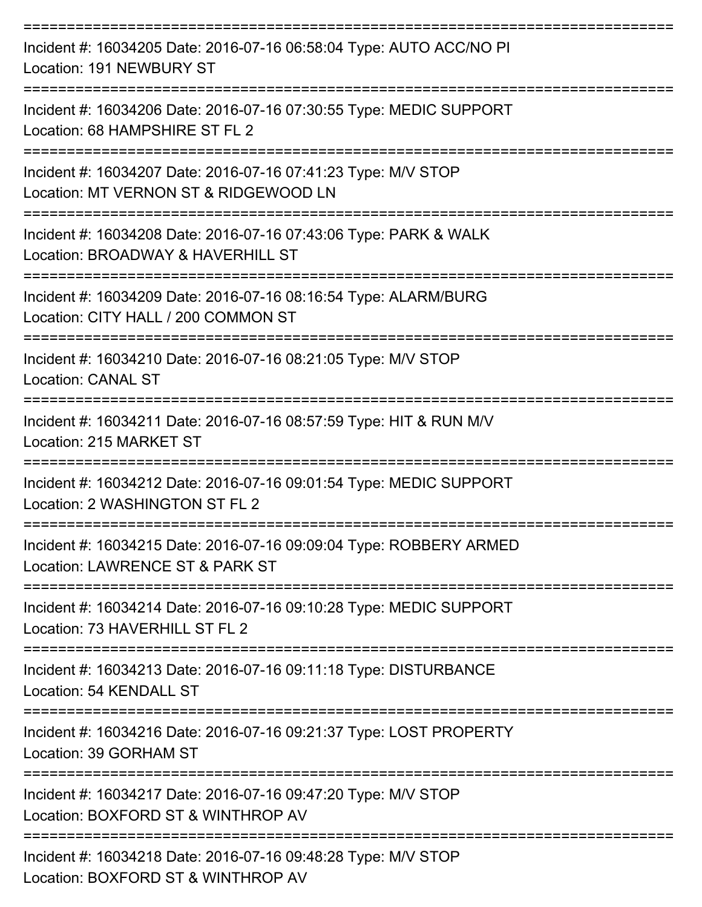| Incident #: 16034205 Date: 2016-07-16 06:58:04 Type: AUTO ACC/NO PI<br>Location: 191 NEWBURY ST                                      |
|--------------------------------------------------------------------------------------------------------------------------------------|
| Incident #: 16034206 Date: 2016-07-16 07:30:55 Type: MEDIC SUPPORT<br>Location: 68 HAMPSHIRE ST FL 2                                 |
| Incident #: 16034207 Date: 2016-07-16 07:41:23 Type: M/V STOP<br>Location: MT VERNON ST & RIDGEWOOD LN<br>====================       |
| Incident #: 16034208 Date: 2016-07-16 07:43:06 Type: PARK & WALK<br>Location: BROADWAY & HAVERHILL ST                                |
| Incident #: 16034209 Date: 2016-07-16 08:16:54 Type: ALARM/BURG<br>Location: CITY HALL / 200 COMMON ST                               |
| Incident #: 16034210 Date: 2016-07-16 08:21:05 Type: M/V STOP<br><b>Location: CANAL ST</b>                                           |
| ===================================<br>Incident #: 16034211 Date: 2016-07-16 08:57:59 Type: HIT & RUN M/V<br>Location: 215 MARKET ST |
| Incident #: 16034212 Date: 2016-07-16 09:01:54 Type: MEDIC SUPPORT<br>Location: 2 WASHINGTON ST FL 2                                 |
| Incident #: 16034215 Date: 2016-07-16 09:09:04 Type: ROBBERY ARMED<br>Location: LAWRENCE ST & PARK ST                                |
| Incident #: 16034214 Date: 2016-07-16 09:10:28 Type: MEDIC SUPPORT<br>Location: 73 HAVERHILL ST FL 2                                 |
| Incident #: 16034213 Date: 2016-07-16 09:11:18 Type: DISTURBANCE<br>Location: 54 KENDALL ST                                          |
| Incident #: 16034216 Date: 2016-07-16 09:21:37 Type: LOST PROPERTY<br>Location: 39 GORHAM ST                                         |
| Incident #: 16034217 Date: 2016-07-16 09:47:20 Type: M/V STOP<br>Location: BOXFORD ST & WINTHROP AV                                  |
| Incident #: 16034218 Date: 2016-07-16 09:48:28 Type: M/V STOP<br>Location: DOVEODD CT & WILLITUDOD AV                                |

Location: BOXFORD ST & WINTHROP AV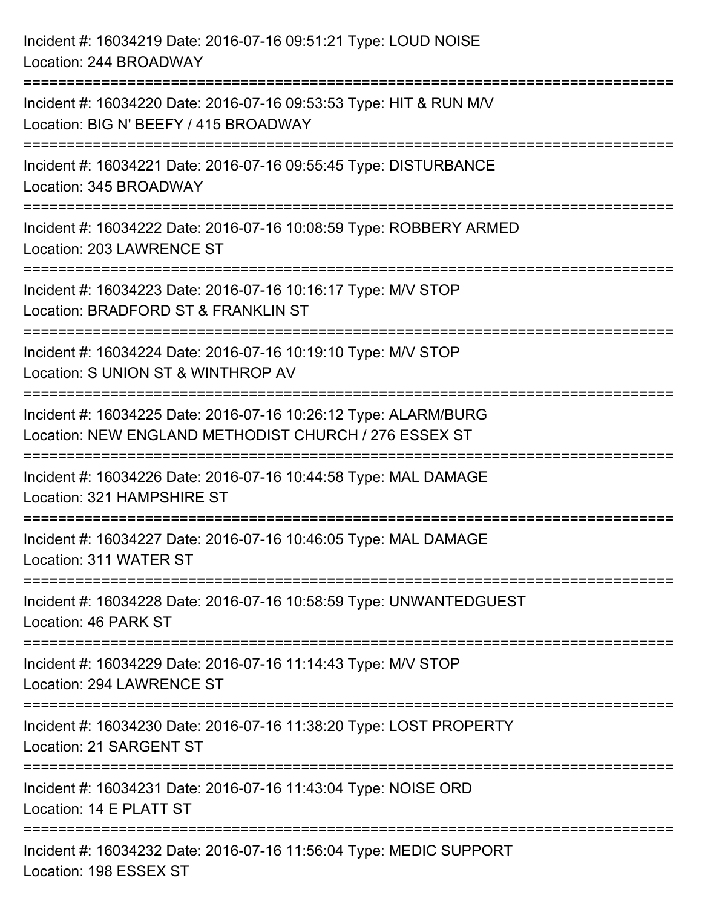| Incident #: 16034219 Date: 2016-07-16 09:51:21 Type: LOUD NOISE<br>Location: 244 BROADWAY                                                                                       |
|---------------------------------------------------------------------------------------------------------------------------------------------------------------------------------|
| Incident #: 16034220 Date: 2016-07-16 09:53:53 Type: HIT & RUN M/V<br>Location: BIG N' BEEFY / 415 BROADWAY                                                                     |
| Incident #: 16034221 Date: 2016-07-16 09:55:45 Type: DISTURBANCE<br>Location: 345 BROADWAY                                                                                      |
| Incident #: 16034222 Date: 2016-07-16 10:08:59 Type: ROBBERY ARMED<br>Location: 203 LAWRENCE ST                                                                                 |
| Incident #: 16034223 Date: 2016-07-16 10:16:17 Type: M/V STOP<br>Location: BRADFORD ST & FRANKLIN ST                                                                            |
| Incident #: 16034224 Date: 2016-07-16 10:19:10 Type: M/V STOP<br>Location: S UNION ST & WINTHROP AV                                                                             |
| Incident #: 16034225 Date: 2016-07-16 10:26:12 Type: ALARM/BURG<br>Location: NEW ENGLAND METHODIST CHURCH / 276 ESSEX ST<br>==================================<br>============= |
| Incident #: 16034226 Date: 2016-07-16 10:44:58 Type: MAL DAMAGE<br>Location: 321 HAMPSHIRE ST                                                                                   |
| Incident #: 16034227 Date: 2016-07-16 10:46:05 Type: MAL DAMAGE<br>Location: 311 WATER ST                                                                                       |
| Incident #: 16034228 Date: 2016-07-16 10:58:59 Type: UNWANTEDGUEST<br>Location: 46 PARK ST                                                                                      |
| Incident #: 16034229 Date: 2016-07-16 11:14:43 Type: M/V STOP<br>Location: 294 LAWRENCE ST                                                                                      |
| =================<br>Incident #: 16034230 Date: 2016-07-16 11:38:20 Type: LOST PROPERTY<br>Location: 21 SARGENT ST                                                              |
| Incident #: 16034231 Date: 2016-07-16 11:43:04 Type: NOISE ORD<br>Location: 14 E PLATT ST                                                                                       |
| Incident #: 16034232 Date: 2016-07-16 11:56:04 Type: MEDIC SUPPORT<br>Location: 198 ESSEX ST                                                                                    |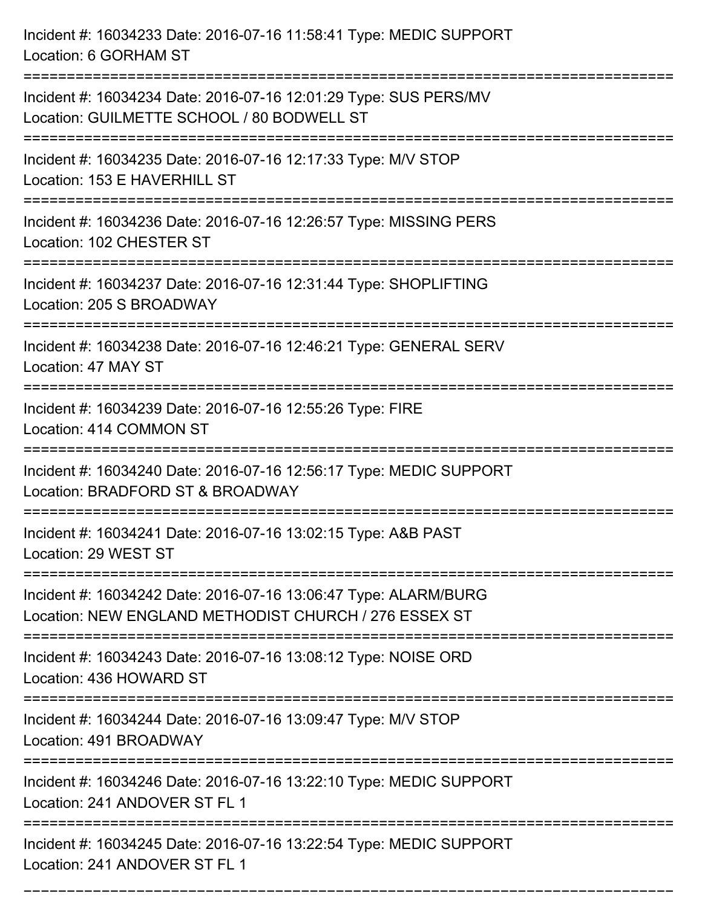| Incident #: 16034233 Date: 2016-07-16 11:58:41 Type: MEDIC SUPPORT<br>Location: 6 GORHAM ST                                                               |
|-----------------------------------------------------------------------------------------------------------------------------------------------------------|
| Incident #: 16034234 Date: 2016-07-16 12:01:29 Type: SUS PERS/MV<br>Location: GUILMETTE SCHOOL / 80 BODWELL ST                                            |
| Incident #: 16034235 Date: 2016-07-16 12:17:33 Type: M/V STOP<br>Location: 153 E HAVERHILL ST<br>:===============================                         |
| Incident #: 16034236 Date: 2016-07-16 12:26:57 Type: MISSING PERS<br>Location: 102 CHESTER ST                                                             |
| Incident #: 16034237 Date: 2016-07-16 12:31:44 Type: SHOPLIFTING<br>Location: 205 S BROADWAY                                                              |
| Incident #: 16034238 Date: 2016-07-16 12:46:21 Type: GENERAL SERV<br>Location: 47 MAY ST                                                                  |
| Incident #: 16034239 Date: 2016-07-16 12:55:26 Type: FIRE<br>Location: 414 COMMON ST                                                                      |
| Incident #: 16034240 Date: 2016-07-16 12:56:17 Type: MEDIC SUPPORT<br>Location: BRADFORD ST & BROADWAY                                                    |
| Incident #: 16034241 Date: 2016-07-16 13:02:15 Type: A&B PAST<br>Location: 29 WEST ST                                                                     |
| Incident #: 16034242 Date: 2016-07-16 13:06:47 Type: ALARM/BURG<br>Location: NEW ENGLAND METHODIST CHURCH / 276 ESSEX ST<br>----------------------------- |
| ------------------------------<br>Incident #: 16034243 Date: 2016-07-16 13:08:12 Type: NOISE ORD<br>Location: 436 HOWARD ST                               |
| Incident #: 16034244 Date: 2016-07-16 13:09:47 Type: M/V STOP<br>Location: 491 BROADWAY                                                                   |
| Incident #: 16034246 Date: 2016-07-16 13:22:10 Type: MEDIC SUPPORT<br>Location: 241 ANDOVER ST FL 1                                                       |
| Incident #: 16034245 Date: 2016-07-16 13:22:54 Type: MEDIC SUPPORT<br>Location: 241 ANDOVER ST FL 1                                                       |

===========================================================================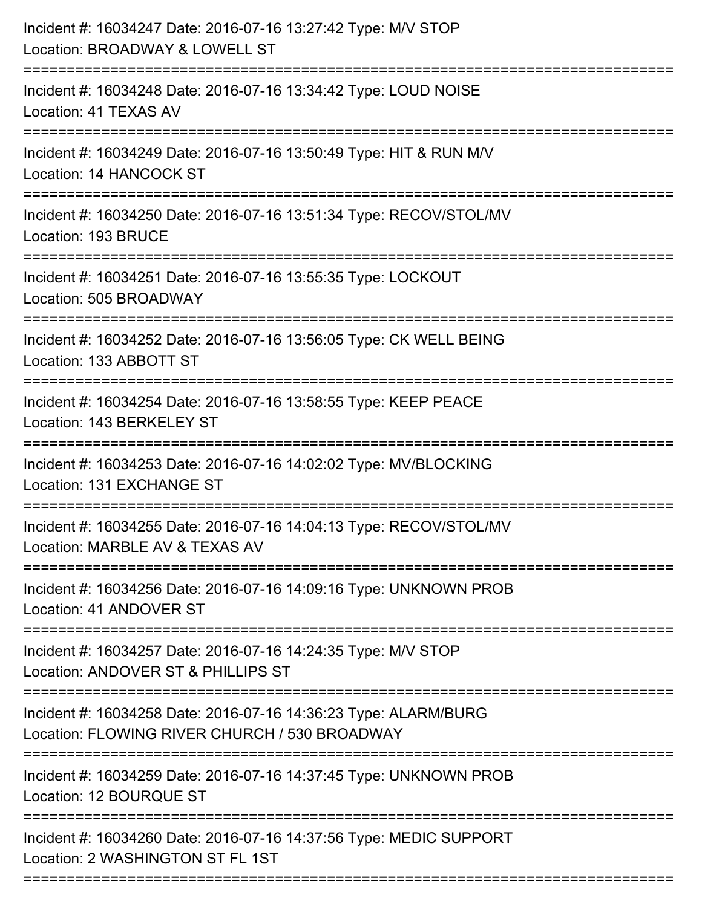| Incident #: 16034247 Date: 2016-07-16 13:27:42 Type: M/V STOP<br>Location: BROADWAY & LOWELL ST<br>===============                  |
|-------------------------------------------------------------------------------------------------------------------------------------|
| Incident #: 16034248 Date: 2016-07-16 13:34:42 Type: LOUD NOISE<br>Location: 41 TEXAS AV                                            |
| Incident #: 16034249 Date: 2016-07-16 13:50:49 Type: HIT & RUN M/V<br>Location: 14 HANCOCK ST<br>-----------------------------      |
| Incident #: 16034250 Date: 2016-07-16 13:51:34 Type: RECOV/STOL/MV<br>Location: 193 BRUCE<br>:===================================== |
| Incident #: 16034251 Date: 2016-07-16 13:55:35 Type: LOCKOUT<br>Location: 505 BROADWAY                                              |
| Incident #: 16034252 Date: 2016-07-16 13:56:05 Type: CK WELL BEING<br>Location: 133 ABBOTT ST                                       |
| Incident #: 16034254 Date: 2016-07-16 13:58:55 Type: KEEP PEACE<br>Location: 143 BERKELEY ST                                        |
| Incident #: 16034253 Date: 2016-07-16 14:02:02 Type: MV/BLOCKING<br>Location: 131 EXCHANGE ST                                       |
| Incident #: 16034255 Date: 2016-07-16 14:04:13 Type: RECOV/STOL/MV<br>Location: MARBLE AV & TEXAS AV                                |
| Incident #: 16034256 Date: 2016-07-16 14:09:16 Type: UNKNOWN PROB<br>Location: 41 ANDOVER ST                                        |
| Incident #: 16034257 Date: 2016-07-16 14:24:35 Type: M/V STOP<br>Location: ANDOVER ST & PHILLIPS ST                                 |
| Incident #: 16034258 Date: 2016-07-16 14:36:23 Type: ALARM/BURG<br>Location: FLOWING RIVER CHURCH / 530 BROADWAY                    |
| Incident #: 16034259 Date: 2016-07-16 14:37:45 Type: UNKNOWN PROB<br>Location: 12 BOURQUE ST                                        |
| Incident #: 16034260 Date: 2016-07-16 14:37:56 Type: MEDIC SUPPORT<br>Location: 2 WASHINGTON ST FL 1ST                              |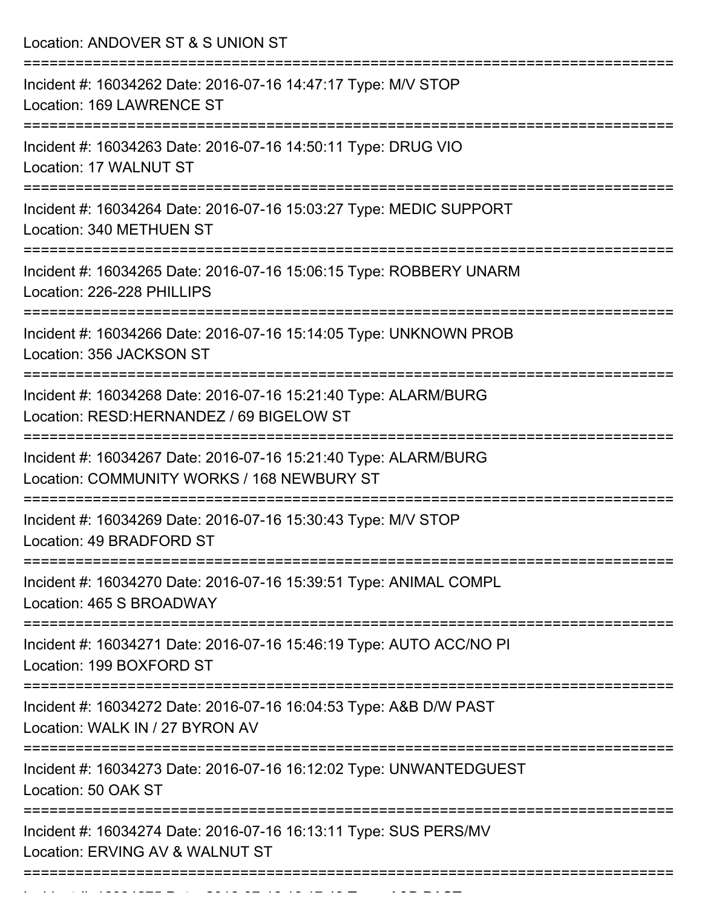| ======================<br>Incident #: 16034262 Date: 2016-07-16 14:47:17 Type: M/V STOP<br>Location: 169 LAWRENCE ST                                 |
|------------------------------------------------------------------------------------------------------------------------------------------------------|
| Incident #: 16034263 Date: 2016-07-16 14:50:11 Type: DRUG VIO<br>Location: 17 WALNUT ST                                                              |
| Incident #: 16034264 Date: 2016-07-16 15:03:27 Type: MEDIC SUPPORT<br>Location: 340 METHUEN ST                                                       |
| Incident #: 16034265 Date: 2016-07-16 15:06:15 Type: ROBBERY UNARM<br>Location: 226-228 PHILLIPS                                                     |
| Incident #: 16034266 Date: 2016-07-16 15:14:05 Type: UNKNOWN PROB<br>Location: 356 JACKSON ST                                                        |
| Incident #: 16034268 Date: 2016-07-16 15:21:40 Type: ALARM/BURG<br>Location: RESD: HERNANDEZ / 69 BIGELOW ST<br>==================================== |
| Incident #: 16034267 Date: 2016-07-16 15:21:40 Type: ALARM/BURG<br>Location: COMMUNITY WORKS / 168 NEWBURY ST                                        |
| Incident #: 16034269 Date: 2016-07-16 15:30:43 Type: M/V STOP<br>Location: 49 BRADFORD ST                                                            |
| Incident #: 16034270 Date: 2016-07-16 15:39:51 Type: ANIMAL COMPL<br>Location: 465 S BROADWAY                                                        |
| Incident #: 16034271 Date: 2016-07-16 15:46:19 Type: AUTO ACC/NO PI<br>Location: 199 BOXFORD ST                                                      |
| ======================<br>Incident #: 16034272 Date: 2016-07-16 16:04:53 Type: A&B D/W PAST<br>Location: WALK IN / 27 BYRON AV                       |
| Incident #: 16034273 Date: 2016-07-16 16:12:02 Type: UNWANTEDGUEST<br>Location: 50 OAK ST                                                            |
| Incident #: 16034274 Date: 2016-07-16 16:13:11 Type: SUS PERS/MV<br>Location: ERVING AV & WALNUT ST                                                  |

Incident #: 16034275 Date: 2016 07 16 16:17:43 Type: A&B PAST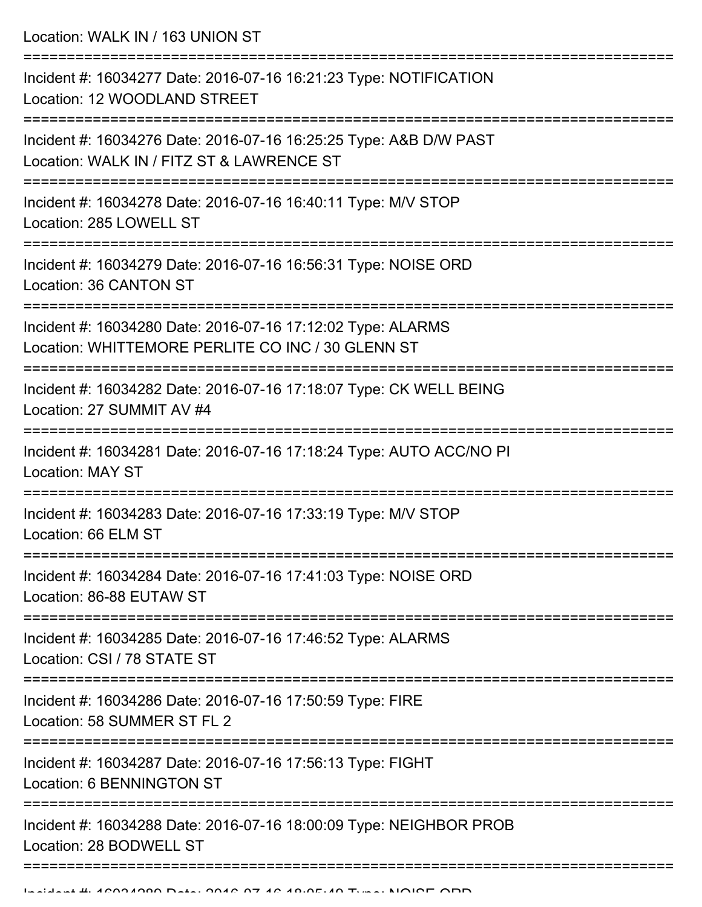Location: WALK IN / 163 UNION ST

| Incident #: 16034277 Date: 2016-07-16 16:21:23 Type: NOTIFICATION<br>Location: 12 WOODLAND STREET                |
|------------------------------------------------------------------------------------------------------------------|
| Incident #: 16034276 Date: 2016-07-16 16:25:25 Type: A&B D/W PAST<br>Location: WALK IN / FITZ ST & LAWRENCE ST   |
| Incident #: 16034278 Date: 2016-07-16 16:40:11 Type: M/V STOP<br>Location: 285 LOWELL ST                         |
| Incident #: 16034279 Date: 2016-07-16 16:56:31 Type: NOISE ORD<br>Location: 36 CANTON ST                         |
| Incident #: 16034280 Date: 2016-07-16 17:12:02 Type: ALARMS<br>Location: WHITTEMORE PERLITE CO INC / 30 GLENN ST |
| Incident #: 16034282 Date: 2016-07-16 17:18:07 Type: CK WELL BEING<br>Location: 27 SUMMIT AV #4                  |
| Incident #: 16034281 Date: 2016-07-16 17:18:24 Type: AUTO ACC/NO PI<br>Location: MAY ST                          |
| Incident #: 16034283 Date: 2016-07-16 17:33:19 Type: M/V STOP<br>Location: 66 ELM ST                             |
| Incident #: 16034284 Date: 2016-07-16 17:41:03 Type: NOISE ORD<br>Location: 86-88 EUTAW ST                       |
| Incident #: 16034285 Date: 2016-07-16 17:46:52 Type: ALARMS<br>Location: CSI / 78 STATE ST                       |
| Incident #: 16034286 Date: 2016-07-16 17:50:59 Type: FIRE<br>Location: 58 SUMMER ST FL 2                         |
| Incident #: 16034287 Date: 2016-07-16 17:56:13 Type: FIGHT<br><b>Location: 6 BENNINGTON ST</b>                   |
| Incident #: 16034288 Date: 2016-07-16 18:00:09 Type: NEIGHBOR PROB<br>Location: 28 BODWELL ST                    |
|                                                                                                                  |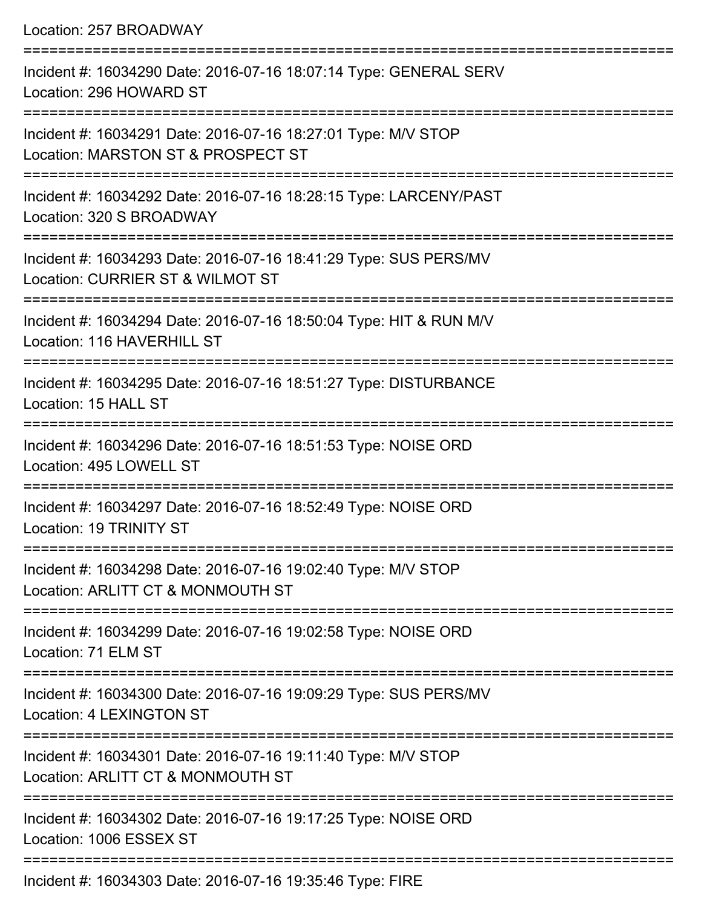Location: 257 BROADWAY =========================================================================== Incident #: 16034290 Date: 2016-07-16 18:07:14 Type: GENERAL SERV Location: 296 HOWARD ST =========================================================================== Incident #: 16034291 Date: 2016-07-16 18:27:01 Type: M/V STOP Location: MARSTON ST & PROSPECT ST =========================================================================== Incident #: 16034292 Date: 2016-07-16 18:28:15 Type: LARCENY/PAST Location: 320 S BROADWAY =========================================================================== Incident #: 16034293 Date: 2016-07-16 18:41:29 Type: SUS PERS/MV Location: CURRIER ST & WILMOT ST =========================================================================== Incident #: 16034294 Date: 2016-07-16 18:50:04 Type: HIT & RUN M/V Location: 116 HAVERHILL ST =========================================================================== Incident #: 16034295 Date: 2016-07-16 18:51:27 Type: DISTURBANCE Location: 15 HALL ST =========================================================================== Incident #: 16034296 Date: 2016-07-16 18:51:53 Type: NOISE ORD Location: 495 LOWELL ST =========================================================================== Incident #: 16034297 Date: 2016-07-16 18:52:49 Type: NOISE ORD Location: 19 TRINITY ST =========================================================================== Incident #: 16034298 Date: 2016-07-16 19:02:40 Type: M/V STOP Location: ARLITT CT & MONMOUTH ST =========================================================================== Incident #: 16034299 Date: 2016-07-16 19:02:58 Type: NOISE ORD Location: 71 ELM ST =========================================================================== Incident #: 16034300 Date: 2016-07-16 19:09:29 Type: SUS PERS/MV Location: 4 LEXINGTON ST =========================================================================== Incident #: 16034301 Date: 2016-07-16 19:11:40 Type: M/V STOP Location: ARLITT CT & MONMOUTH ST =========================================================================== Incident #: 16034302 Date: 2016-07-16 19:17:25 Type: NOISE ORD Location: 1006 ESSEX ST ===========================================================================

Incident #: 16034303 Date: 2016-07-16 19:35:46 Type: FIRE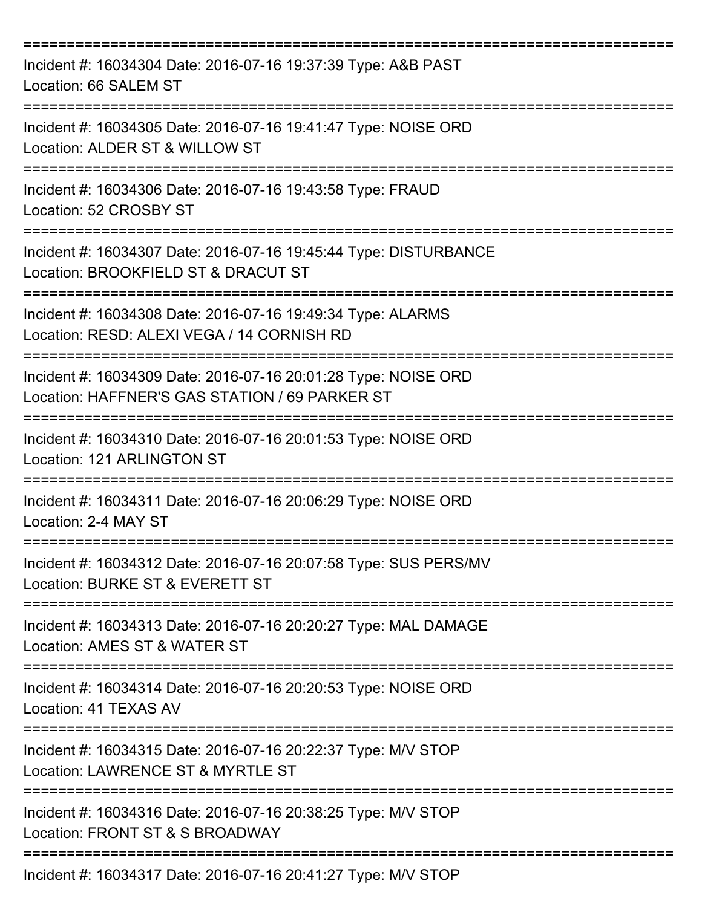| Incident #: 16034304 Date: 2016-07-16 19:37:39 Type: A&B PAST<br>Location: 66 SALEM ST                                                   |
|------------------------------------------------------------------------------------------------------------------------------------------|
| Incident #: 16034305 Date: 2016-07-16 19:41:47 Type: NOISE ORD<br>Location: ALDER ST & WILLOW ST                                         |
| Incident #: 16034306 Date: 2016-07-16 19:43:58 Type: FRAUD<br>Location: 52 CROSBY ST                                                     |
| Incident #: 16034307 Date: 2016-07-16 19:45:44 Type: DISTURBANCE<br>Location: BROOKFIELD ST & DRACUT ST                                  |
| Incident #: 16034308 Date: 2016-07-16 19:49:34 Type: ALARMS<br>Location: RESD: ALEXI VEGA / 14 CORNISH RD                                |
| Incident #: 16034309 Date: 2016-07-16 20:01:28 Type: NOISE ORD<br>Location: HAFFNER'S GAS STATION / 69 PARKER ST<br>-------------------- |
| Incident #: 16034310 Date: 2016-07-16 20:01:53 Type: NOISE ORD<br>Location: 121 ARLINGTON ST                                             |
| Incident #: 16034311 Date: 2016-07-16 20:06:29 Type: NOISE ORD<br>Location: 2-4 MAY ST                                                   |
| Incident #: 16034312 Date: 2016-07-16 20:07:58 Type: SUS PERS/MV<br>Location: BURKE ST & EVERETT ST                                      |
| Incident #: 16034313 Date: 2016-07-16 20:20:27 Type: MAL DAMAGE<br>Location: AMES ST & WATER ST                                          |
| Incident #: 16034314 Date: 2016-07-16 20:20:53 Type: NOISE ORD<br>Location: 41 TEXAS AV                                                  |
| ---------------------<br>Incident #: 16034315 Date: 2016-07-16 20:22:37 Type: M/V STOP<br>Location: LAWRENCE ST & MYRTLE ST              |
| Incident #: 16034316 Date: 2016-07-16 20:38:25 Type: M/V STOP<br>Location: FRONT ST & S BROADWAY                                         |
| Incident #: 16034317 Date: 2016-07-16 20:41:27 Type: M/V STOP                                                                            |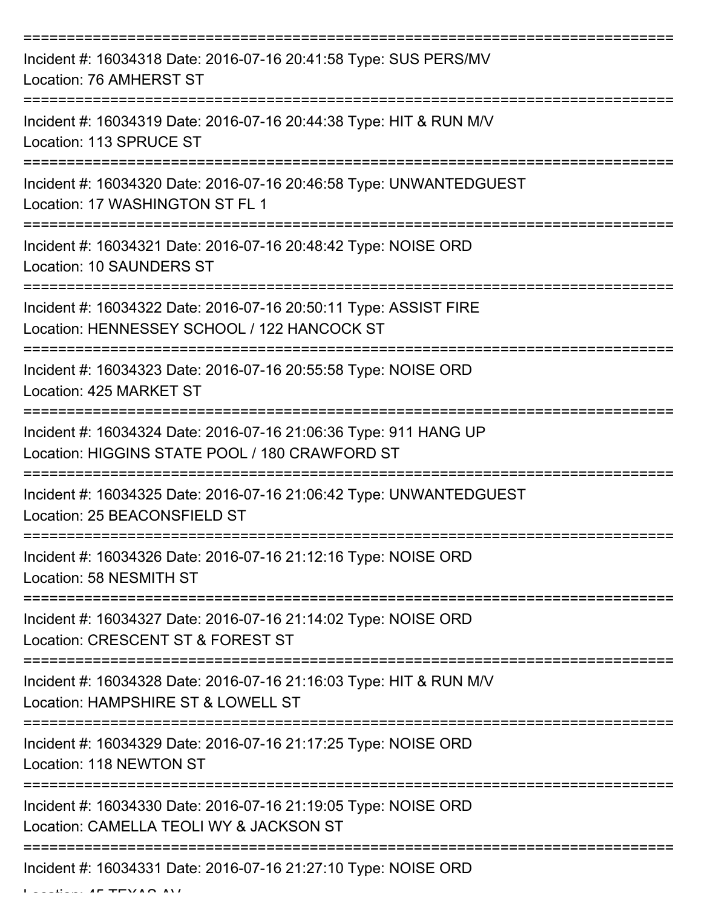| Incident #: 16034318 Date: 2016-07-16 20:41:58 Type: SUS PERS/MV<br>Location: 76 AMHERST ST                                                  |
|----------------------------------------------------------------------------------------------------------------------------------------------|
| Incident #: 16034319 Date: 2016-07-16 20:44:38 Type: HIT & RUN M/V<br>Location: 113 SPRUCE ST                                                |
| Incident #: 16034320 Date: 2016-07-16 20:46:58 Type: UNWANTEDGUEST<br>Location: 17 WASHINGTON ST FL 1                                        |
| Incident #: 16034321 Date: 2016-07-16 20:48:42 Type: NOISE ORD<br>Location: 10 SAUNDERS ST                                                   |
| Incident #: 16034322 Date: 2016-07-16 20:50:11 Type: ASSIST FIRE<br>Location: HENNESSEY SCHOOL / 122 HANCOCK ST<br>========================= |
| Incident #: 16034323 Date: 2016-07-16 20:55:58 Type: NOISE ORD<br>Location: 425 MARKET ST                                                    |
| Incident #: 16034324 Date: 2016-07-16 21:06:36 Type: 911 HANG UP<br>Location: HIGGINS STATE POOL / 180 CRAWFORD ST                           |
| Incident #: 16034325 Date: 2016-07-16 21:06:42 Type: UNWANTEDGUEST<br>Location: 25 BEACONSFIELD ST                                           |
| Incident #: 16034326 Date: 2016-07-16 21:12:16 Type: NOISE ORD<br>Location: 58 NESMITH ST                                                    |
| Incident #: 16034327 Date: 2016-07-16 21:14:02 Type: NOISE ORD<br>Location: CRESCENT ST & FOREST ST                                          |
| Incident #: 16034328 Date: 2016-07-16 21:16:03 Type: HIT & RUN M/V<br>Location: HAMPSHIRE ST & LOWELL ST                                     |
| Incident #: 16034329 Date: 2016-07-16 21:17:25 Type: NOISE ORD<br>Location: 118 NEWTON ST                                                    |
| Incident #: 16034330 Date: 2016-07-16 21:19:05 Type: NOISE ORD<br>Location: CAMELLA TEOLI WY & JACKSON ST                                    |
| Incident #: 16034331 Date: 2016-07-16 21:27:10 Type: NOISE ORD                                                                               |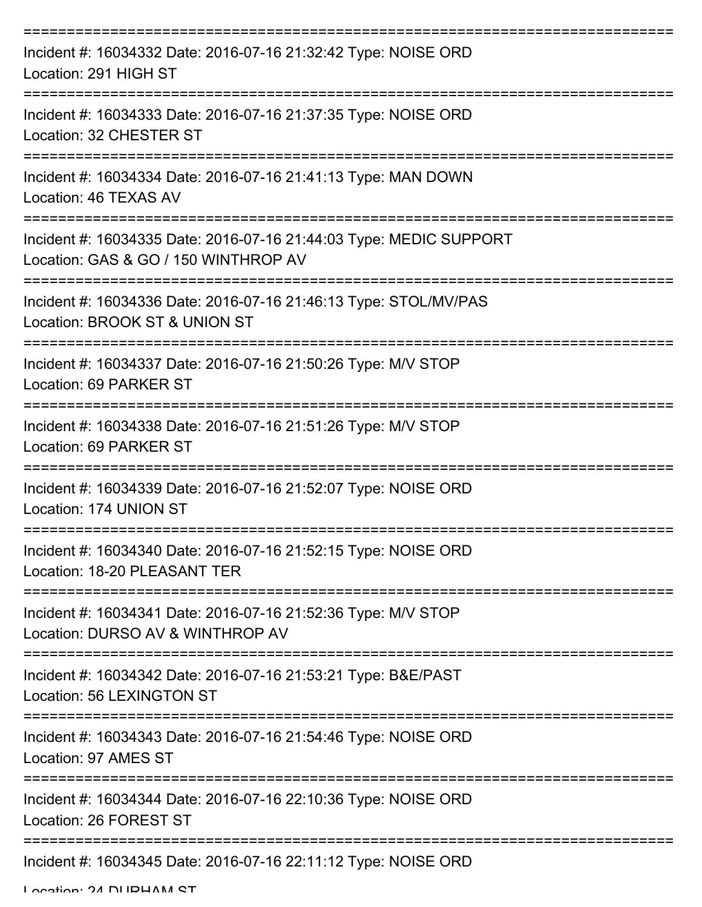| Incident #: 16034332 Date: 2016-07-16 21:32:42 Type: NOISE ORD<br>Location: 291 HIGH ST                          |
|------------------------------------------------------------------------------------------------------------------|
| Incident #: 16034333 Date: 2016-07-16 21:37:35 Type: NOISE ORD<br>Location: 32 CHESTER ST                        |
| Incident #: 16034334 Date: 2016-07-16 21:41:13 Type: MAN DOWN<br>Location: 46 TEXAS AV                           |
| Incident #: 16034335 Date: 2016-07-16 21:44:03 Type: MEDIC SUPPORT<br>Location: GAS & GO / 150 WINTHROP AV       |
| Incident #: 16034336 Date: 2016-07-16 21:46:13 Type: STOL/MV/PAS<br>Location: BROOK ST & UNION ST                |
| Incident #: 16034337 Date: 2016-07-16 21:50:26 Type: M/V STOP<br>Location: 69 PARKER ST<br>===================== |
| Incident #: 16034338 Date: 2016-07-16 21:51:26 Type: M/V STOP<br>Location: 69 PARKER ST                          |
| Incident #: 16034339 Date: 2016-07-16 21:52:07 Type: NOISE ORD<br>Location: 174 UNION ST                         |
| Incident #: 16034340 Date: 2016-07-16 21:52:15 Type: NOISE ORD<br>Location: 18-20 PLEASANT TER                   |
| Incident #: 16034341 Date: 2016-07-16 21:52:36 Type: M/V STOP<br>Location: DURSO AV & WINTHROP AV                |
| Incident #: 16034342 Date: 2016-07-16 21:53:21 Type: B&E/PAST<br>Location: 56 LEXINGTON ST                       |
| Incident #: 16034343 Date: 2016-07-16 21:54:46 Type: NOISE ORD<br>Location: 97 AMES ST                           |
| Incident #: 16034344 Date: 2016-07-16 22:10:36 Type: NOISE ORD<br>Location: 26 FOREST ST                         |
| -------------------------------------<br>Incident #: 16034345 Date: 2016-07-16 22:11:12 Type: NOISE ORD          |

Location: 24 DURHAM ST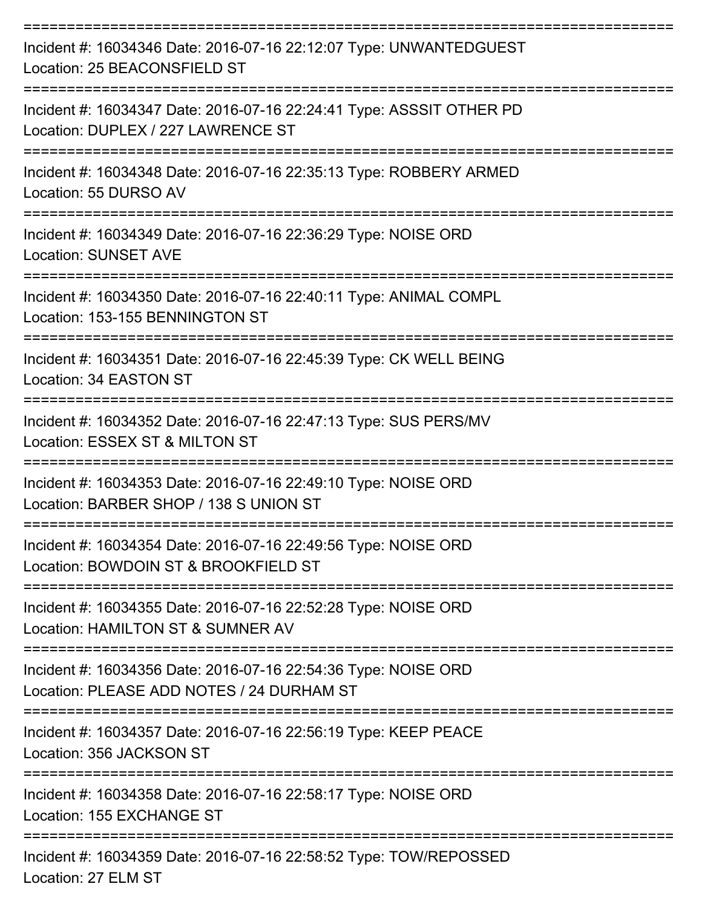| Incident #: 16034346 Date: 2016-07-16 22:12:07 Type: UNWANTEDGUEST<br>Location: 25 BEACONSFIELD ST                           |
|------------------------------------------------------------------------------------------------------------------------------|
| Incident #: 16034347 Date: 2016-07-16 22:24:41 Type: ASSSIT OTHER PD<br>Location: DUPLEX / 227 LAWRENCE ST                   |
| Incident #: 16034348 Date: 2016-07-16 22:35:13 Type: ROBBERY ARMED<br>Location: 55 DURSO AV                                  |
| Incident #: 16034349 Date: 2016-07-16 22:36:29 Type: NOISE ORD<br><b>Location: SUNSET AVE</b>                                |
| Incident #: 16034350 Date: 2016-07-16 22:40:11 Type: ANIMAL COMPL<br>Location: 153-155 BENNINGTON ST                         |
| Incident #: 16034351 Date: 2016-07-16 22:45:39 Type: CK WELL BEING<br>Location: 34 EASTON ST                                 |
| ----------------------<br>Incident #: 16034352 Date: 2016-07-16 22:47:13 Type: SUS PERS/MV<br>Location: ESSEX ST & MILTON ST |
| Incident #: 16034353 Date: 2016-07-16 22:49:10 Type: NOISE ORD<br>Location: BARBER SHOP / 138 S UNION ST                     |
| Incident #: 16034354 Date: 2016-07-16 22:49:56 Type: NOISE ORD<br>Location: BOWDOIN ST & BROOKFIELD ST                       |
| Incident #: 16034355 Date: 2016-07-16 22:52:28 Type: NOISE ORD<br>Location: HAMILTON ST & SUMNER AV                          |
| Incident #: 16034356 Date: 2016-07-16 22:54:36 Type: NOISE ORD<br>Location: PLEASE ADD NOTES / 24 DURHAM ST                  |
| Incident #: 16034357 Date: 2016-07-16 22:56:19 Type: KEEP PEACE<br>Location: 356 JACKSON ST                                  |
| Incident #: 16034358 Date: 2016-07-16 22:58:17 Type: NOISE ORD<br>Location: 155 EXCHANGE ST                                  |
| Incident #: 16034359 Date: 2016-07-16 22:58:52 Type: TOW/REPOSSED<br>Location: 27 ELM ST                                     |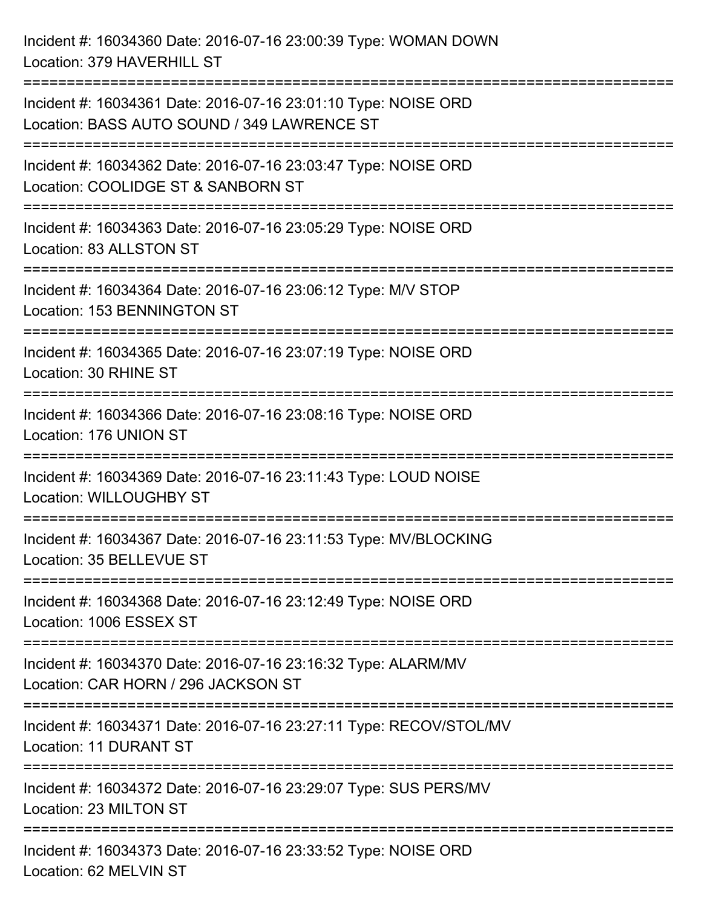Incident #: 16034360 Date: 2016-07-16 23:00:39 Type: WOMAN DOWN Location: 379 HAVERHILL ST =========================================================================== Incident #: 16034361 Date: 2016-07-16 23:01:10 Type: NOISE ORD Location: BASS AUTO SOUND / 349 LAWRENCE ST =========================================================================== Incident #: 16034362 Date: 2016-07-16 23:03:47 Type: NOISE ORD Location: COOLIDGE ST & SANBORN ST =========================================================================== Incident #: 16034363 Date: 2016-07-16 23:05:29 Type: NOISE ORD Location: 83 ALLSTON ST =========================================================================== Incident #: 16034364 Date: 2016-07-16 23:06:12 Type: M/V STOP Location: 153 BENNINGTON ST =========================================================================== Incident #: 16034365 Date: 2016-07-16 23:07:19 Type: NOISE ORD Location: 30 RHINE ST =========================================================================== Incident #: 16034366 Date: 2016-07-16 23:08:16 Type: NOISE ORD Location: 176 UNION ST =========================================================================== Incident #: 16034369 Date: 2016-07-16 23:11:43 Type: LOUD NOISE Location: WILLOUGHBY ST =========================================================================== Incident #: 16034367 Date: 2016-07-16 23:11:53 Type: MV/BLOCKING Location: 35 BELLEVUE ST =========================================================================== Incident #: 16034368 Date: 2016-07-16 23:12:49 Type: NOISE ORD Location: 1006 ESSEX ST =========================================================================== Incident #: 16034370 Date: 2016-07-16 23:16:32 Type: ALARM/MV Location: CAR HORN / 296 JACKSON ST =========================================================================== Incident #: 16034371 Date: 2016-07-16 23:27:11 Type: RECOV/STOL/MV Location: 11 DURANT ST =========================================================================== Incident #: 16034372 Date: 2016-07-16 23:29:07 Type: SUS PERS/MV Location: 23 MILTON ST =========================================================================== Incident #: 16034373 Date: 2016-07-16 23:33:52 Type: NOISE ORD Location: 62 MELVIN ST